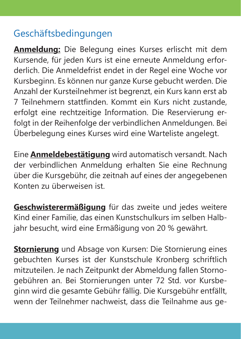## Geschäftsbedingungen

**Anmeldung:** Die Belegung eines Kurses erlischt mit dem Kursende, für jeden Kurs ist eine erneute Anmeldung erforderlich. Die Anmeldefrist endet in der Regel eine Woche vor Kursbeginn. Es können nur ganze Kurse gebucht werden. Die Anzahl der Kursteilnehmer ist begrenzt, ein Kurs kann erst ab 7 Teilnehmern stattfinden. Kommt ein Kurs nicht zustande, erfolgt eine rechtzeitige Information. Die Reservierung erfolgt in der Reihenfolge der verbindlichen Anmeldungen. Bei Überbelegung eines Kurses wird eine Warteliste angelegt.

Eine **Anmeldebestätigung** wird automatisch versandt. Nach der verbindlichen Anmeldung erhalten Sie eine Rechnung über die Kursgebühr, die zeitnah auf eines der angegebenen Konten zu überweisen ist.

**Geschwisterermäßigung** für das zweite und jedes weitere Kind einer Familie, das einen Kunstschulkurs im selben Halbjahr besucht, wird eine Ermäßigung von 20 % gewährt.

**Stornierung** und Absage von Kursen: Die Stornierung eines gebuchten Kurses ist der Kunstschule Kronberg schriftlich mitzuteilen. Je nach Zeitpunkt der Abmeldung fallen Stornogebühren an. Bei Stornierungen unter 72 Std. vor Kursbeginn wird die gesamte Gebühr fällig. Die Kursgebühr entfällt, wenn der Teilnehmer nachweist, dass die Teilnahme aus ge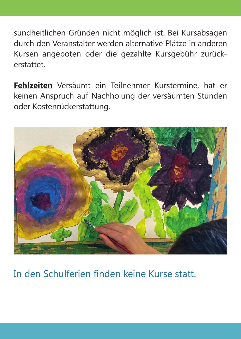sundheitlichen Gründen nicht möglich ist. Bei Kursabsagen durch den Veranstalter werden alternative Plätze in anderen Kursen angeboten oder die gezahlte Kursgebühr zurückerstattet.

**Fehlzeiten** Versäumt ein Teilnehmer Kurstermine, hat er keinen Anspruch auf Nachholung der versäumten Stunden oder Kostenrückerstattung.



## In den Schulferien finden keine Kurse statt.